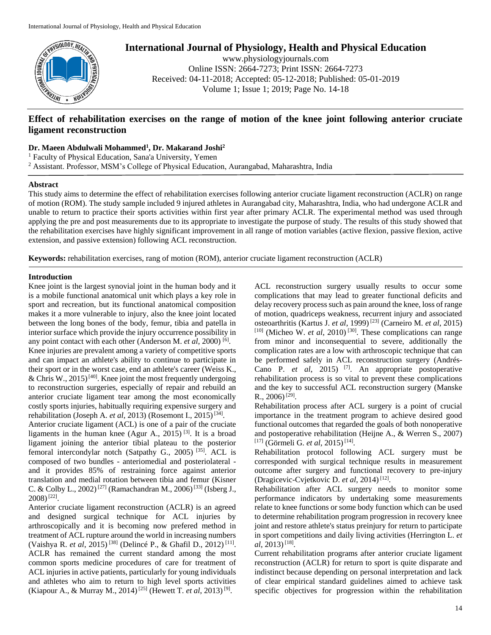

**International Journal of Physiology, Health and Physical Education**

www.physiologyjournals.com Online ISSN: 2664-7273; Print ISSN: 2664-7273 Received: 04-11-2018; Accepted: 05-12-2018; Published: 05-01-2019 Volume 1; Issue 1; 2019; Page No. 14-18

# **Effect of rehabilitation exercises on the range of motion of the knee joint following anterior cruciate ligament reconstruction**

# **Dr. Maeen Abdulwali Mohammed<sup>1</sup> , Dr. Makarand Joshi<sup>2</sup>**

<sup>1</sup> Faculty of Physical Education, Sana'a University, Yemen

<sup>2</sup> Assistant. Professor, MSM's College of Physical Education, Aurangabad, Maharashtra, India

# **Abstract**

This study aims to determine the effect of rehabilitation exercises following anterior cruciate ligament reconstruction (ACLR) on range of motion (ROM). The study sample included 9 injured athletes in Aurangabad city, Maharashtra, India, who had undergone ACLR and unable to return to practice their sports activities within first year after primary ACLR. The experimental method was used through applying the pre and post measurements due to its appropriate to investigate the purpose of study. The results of this study showed that the rehabilitation exercises have highly significant improvement in all range of motion variables (active flexion, passive flexion, active extension, and passive extension) following ACL reconstruction.

**Keywords:** rehabilitation exercises, rang of motion (ROM), anterior cruciate ligament reconstruction (ACLR)

# **Introduction**

Knee joint is the largest synovial joint in the human body and it is a mobile functional anatomical unit which plays a key role in sport and recreation, but its functional anatomical composition makes it a more vulnerable to injury, also the knee joint located between the long bones of the body, femur, tibia and patella in interior surface which provide the injury occurrence possibility in any point contact with each other (Anderson M. *et al*, 2000)<sup>[6]</sup>.

Knee injuries are prevalent among a variety of competitive sports and can impact an athlete's ability to continue to participate in their sport or in the worst case, end an athlete's career (Weiss K., & Chris W.,  $2015$ <sup>[40]</sup>. Knee joint the most frequently undergoing to reconstruction surgeries, especially of repair and rebuild an anterior cruciate ligament tear among the most economically costly sports injuries, habitually requiring expensive surgery and rehabilitation (Joseph A. *et al*, 2013) (Rosemont I., 2015)<sup>[34]</sup>.

Anterior cruciate ligament (ACL) is one of a pair of the cruciate ligaments in the human knee (Agur A.,  $2015$ )<sup>[3]</sup>. It is a broad ligament joining the anterior tibial plateau to the posterior femoral intercondylar notch (Satpathy G., 2005) [35]. ACL is composed of two bundles - anteriomedial and posteriolateral and it provides 85% of restraining force against anterior translation and medial rotation between tibia and femur (Kisner C. & Colby L., 2002)<sup>[27]</sup> (Ramachandran M., 2006)<sup>[33]</sup> (Isberg J.,  $2008$ )<sup>[22]</sup>.

Anterior cruciate ligament reconstruction (ACLR) is an agreed and designed surgical technique for ACL injuries by arthroscopically and it is becoming now prefered method in treatment of ACL rupture around the world in increasing numbers (Vaishya R. *et al*, 2015) [38] (Delincé P., & Ghafil D., 2012) [11] . ACLR has remained the current standard among the most common sports medicine procedures of care for treatment of ACL injuries in active patients, particularly for young individuals and athletes who aim to return to high level sports activities (Kiapour A., & Murray M., 2014)<sup>[25]</sup> (Hewett T. *et al*, 2013)<sup>[9]</sup>.

ACL reconstruction surgery usually results to occur some complications that may lead to greater functional deficits and delay recovery process such as pain around the knee, loss of range of motion, quadriceps weakness, recurrent injury and associated osteoarthritis (Kartus J. *et al*, 1999) [23] (Carneiro M. *et al*, 2015)  $[10]$  (Micheo W. *et al*, 2010)<sup>[30]</sup>. These complications can range from minor and inconsequential to severe, additionally the complication rates are a low with arthroscopic technique that can be performed safely in ACL reconstruction surgery (Andrés-Cano P. *et al*, 2015) [7]. An appropriate postoperative rehabilitation process is so vital to prevent these complications and the key to successful ACL reconstruction surgery (Manske  $R_{.,}$  2006)<sup>[29]</sup>.

Rehabilitation process after ACL surgery is a point of crucial importance in the treatment program to achieve desired good functional outcomes that regarded the goals of both nonoperative and postoperative rehabilitation (Heijne A., & Werren S., 2007) <sup>[17]</sup> (Görmeli G. *et al*, 2015)<sup>[14]</sup>.

Rehabilitation protocol following ACL surgery must be corresponded with surgical technique results in measurement outcome after surgery and functional recovery to pre-injury (Dragicevic-Cvjetkovic D. et al, 2014)<sup>[12]</sup>.

Rehabilitation after ACL surgery needs to monitor some performance indicators by undertaking some measurements relate to knee functions or some body function which can be used to determine rehabilitation program progression in recovery knee joint and restore athlete's status preinjury for return to participate in sport competitions and daily living activities (Herrington L. *et al*, 2013)<sup>[18]</sup>.

Current rehabilitation programs after anterior cruciate ligament reconstruction (ACLR) for return to sport is quite disparate and indistinct because depending on personal interpretation and lack of clear empirical standard guidelines aimed to achieve task specific objectives for progression within the rehabilitation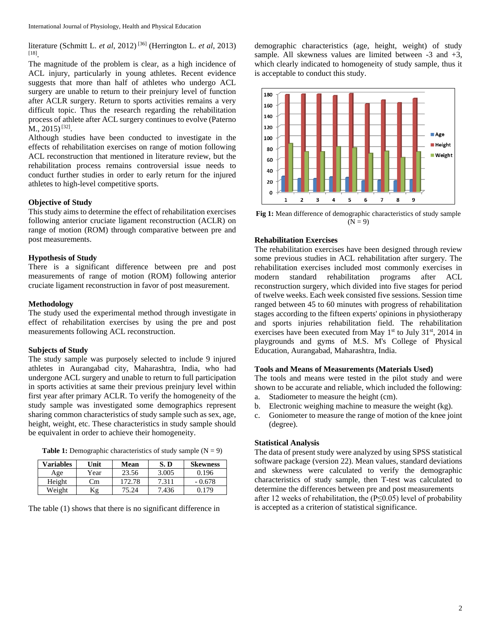literature (Schmitt L. *et al*, 2012) [36] (Herrington L. *et al*, 2013) [18] .

The magnitude of the problem is clear, as a high incidence of ACL injury, particularly in young athletes. Recent evidence suggests that more than half of athletes who undergo ACL surgery are unable to return to their preinjury level of function after ACLR surgery. Return to sports activities remains a very difficult topic. Thus the research regarding the rehabilitation process of athlete after ACL surgery continues to evolve (Paterno  $M_{\cdot}$ , 2015)<sup>[32]</sup>.

Although studies have been conducted to investigate in the effects of rehabilitation exercises on range of motion following ACL reconstruction that mentioned in literature review, but the rehabilitation process remains controversial issue needs to conduct further studies in order to early return for the injured athletes to high-level competitive sports.

# **Objective of Study**

This study aims to determine the effect of rehabilitation exercises following anterior cruciate ligament reconstruction (ACLR) on range of motion (ROM) through comparative between pre and post measurements.

## **Hypothesis of Study**

There is a significant difference between pre and post measurements of range of motion (ROM) following anterior cruciate ligament reconstruction in favor of post measurement.

### **Methodology**

The study used the experimental method through investigate in effect of rehabilitation exercises by using the pre and post measurements following ACL reconstruction.

### **Subjects of Study**

The study sample was purposely selected to include 9 injured athletes in Aurangabad city, Maharashtra, India, who had undergone ACL surgery and unable to return to full participation in sports activities at same their previous preinjury level within first year after primary ACLR. To verify the homogeneity of the study sample was investigated some demographics represent sharing common characteristics of study sample such as sex, age, height, weight, etc. These characteristics in study sample should be equivalent in order to achieve their homogeneity.

|  |  |  | <b>Table 1:</b> Demographic characteristics of study sample $(N = 9)$ |  |  |  |  |  |
|--|--|--|-----------------------------------------------------------------------|--|--|--|--|--|
|--|--|--|-----------------------------------------------------------------------|--|--|--|--|--|

| Variables | Unit | Mean   | S.D   | <b>Skewness</b> |
|-----------|------|--------|-------|-----------------|
| Age       | Year | 23.56  | 3.005 | 0.196           |
| Height    | Сm   | 172.78 | 7.311 | $-0.678$        |
| Weight    | ۷ğ   | 75.24  | 7.436 | በ 179           |

The table (1) shows that there is no significant difference in

demographic characteristics (age, height, weight) of study sample. All skewness values are limited between  $-3$  and  $+3$ , which clearly indicated to homogeneity of study sample, thus it is acceptable to conduct this study.



**Fig 1:** Mean difference of demographic characteristics of study sample  $(N = 9)$ 

# **Rehabilitation Exercises**

The rehabilitation exercises have been designed through review some previous studies in ACL rehabilitation after surgery. The rehabilitation exercises included most commonly exercises in modern standard rehabilitation programs after ACL reconstruction surgery, which divided into five stages for period of twelve weeks. Each week consisted five sessions. Session time ranged between 45 to 60 minutes with progress of rehabilitation stages according to the fifteen experts' opinions in physiotherapy and sports injuries rehabilitation field. The rehabilitation exercises have been executed from May  $1<sup>st</sup>$  to July 31 $<sup>st</sup>$ , 2014 in</sup> playgrounds and gyms of M.S. M's College of Physical Education, Aurangabad, Maharashtra, India.

#### **Tools and Means of Measurements (Materials Used)**

The tools and means were tested in the pilot study and were shown to be accurate and reliable, which included the following:

- a. Stadiometer to measure the height (cm).
- b. Electronic weighing machine to measure the weight (kg).
- c. Goniometer to measure the range of motion of the knee joint (degree).

## **Statistical Analysis**

The data of present study were analyzed by using SPSS statistical software package (version 22). Mean values, standard deviations and skewness were calculated to verify the demographic characteristics of study sample, then T-test was calculated to determine the differences between pre and post measurements after 12 weeks of rehabilitation, the (P≤0.05) level of probability is accepted as a criterion of statistical significance.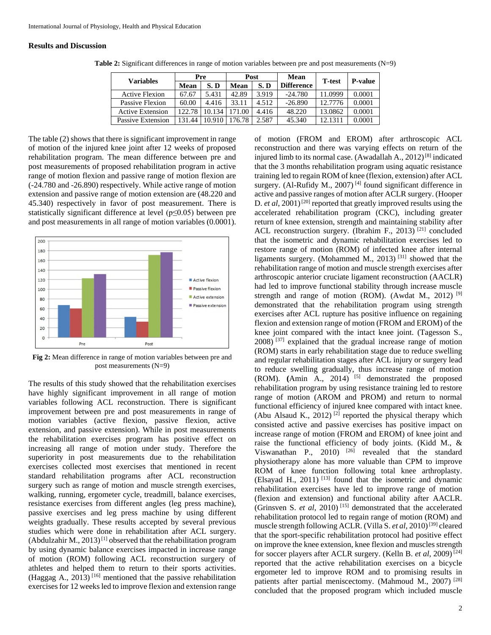#### **Results and Discussion**

| Variables             | Pre    |        | Post  |       | Mean              | <b>T</b> -test | <b>P-value</b> |  |
|-----------------------|--------|--------|-------|-------|-------------------|----------------|----------------|--|
|                       | Mean   | S.D    | Mean  | S. D  | <b>Difference</b> |                |                |  |
| <b>Active Flexion</b> | 67.67  | 5.431  | 42.89 | 3.919 | $-24.780$         | 11.0999        | 0.0001         |  |
| Passive Flexion       | 60.00  | 4.416  | 33.11 | 4.512 | $-26.890$         | 12.7776        | 0.0001         |  |
| Active Extension      | 122.78 | 10.134 | 71.00 | 4.416 | 48.220            | 13.0862        | 0.0001         |  |
| Passive Extension     | 31.44  | 10.910 | 76.78 | 2.587 | 45.340            | 12.1311        | 0.0001         |  |

**Table 2:** Significant differences in range of motion variables between pre and post measurements (N=9)

The table (2) shows that there is significant improvement in range of motion of the injured knee joint after 12 weeks of proposed rehabilitation program. The mean difference between pre and post measurements of proposed rehabilitation program in active range of motion flexion and passive range of motion flexion are (-24.780 and -26.890) respectively. While active range of motion extension and passive range of motion extension are (48.220 and 45.340) respectively in favor of post measurement. There is statistically significant difference at level ( $p \le 0.05$ ) between pre and post measurements in all range of motion variables (0.0001).



**Fig 2:** Mean difference in range of motion variables between pre and post measurements (N=9)

The results of this study showed that the rehabilitation exercises have highly significant improvement in all range of motion variables following ACL reconstruction. There is significant improvement between pre and post measurements in range of motion variables (active flexion, passive flexion, active extension, and passive extension). While in post measurements the rehabilitation exercises program has positive effect on increasing all range of motion under study. Therefore the superiority in post measurements due to the rehabilitation exercises collected most exercises that mentioned in recent standard rehabilitation programs after ACL reconstruction surgery such as range of motion and muscle strength exercises, walking, running, ergometer cycle, treadmill, balance exercises, resistance exercises from different angles (leg press machine), passive exercises and leg press machine by using different weights gradually. These results accepted by several previous studies which were done in rehabilitation after ACL surgery. (Abdulzahir M., 2013)<sup>[1]</sup> observed that the rehabilitation program by using dynamic balance exercises impacted in increase range of motion (ROM) following ACL reconstruction surgery of athletes and helped them to return to their sports activities. (Haggag A., 2013) [16] mentioned that the passive rehabilitation exercises for 12 weeks led to improve flexion and extension range

of motion (FROM and EROM) after arthroscopic ACL reconstruction and there was varying effects on return of the injured limb to its normal case. (Awadallah A., 2012)[8] indicated that the 3 months rehabilitation program using aquatic resistance training led to regain ROM of knee (flexion, extension) after ACL surgery. (Al-Rufidy M., 2007)<sup>[4]</sup> found significant difference in active and passive ranges of motion after ACLR surgery. (Hooper D. *et al*, 2001)<sup>[20]</sup> reported that greatly improved results using the accelerated rehabilitation program (CKC), including greater return of knee extension, strength and maintaining stability after ACL reconstruction surgery. (Ibrahim F., 2013) [21] concluded that the isometric and dynamic rehabilitation exercises led to restore range of motion (ROM) of infected knee after internal ligaments surgery. (Mohammed M., 2013) [31] showed that the rehabilitation range of motion and muscle strength exercises after arthroscopic anterior cruciate ligament reconstruction (AACLR) had led to improve functional stability through increase muscle strength and range of motion (ROM). (Awdat M., 2012)<sup>[9]</sup> demonstrated that the rehabilitation program using strength exercises after ACL rupture has positive influence on regaining flexion and extension range of motion (FROM and EROM) of the knee joint compared with the intact knee joint. (Tagesson S.,  $2008$ )  $[37]$  explained that the gradual increase range of motion (ROM) starts in early rehabilitation stage due to reduce swelling and regular rehabilitation stages after ACL injury or surgery lead to reduce swelling gradually, thus increase range of motion (ROM). **(**Amin A., 2014) [5] demonstrated the proposed rehabilitation program by using resistance training led to restore range of motion (AROM and PROM) and return to normal functional efficiency of injured knee compared with intact knee. (Abu Alsaud K., 2012)<sup>[2]</sup> reported the physical therapy which consisted active and passive exercises has positive impact on increase range of motion (FROM and EROM) of knee joint and raise the functional efficiency of body joints. (Kidd M., & Viswanathan P., 2010)  $^{[26]}$  revealed that the standard physiotherapy alone has more valuable than CPM to improve ROM of knee function following total knee arthroplasty. (Elsayad H., 2011) [13] found that the isometric and dynamic rehabilitation exercises have led to improve range of motion (flexion and extension) and functional ability after AACLR. (Grinsven S. *et al*, 2010) [15] demonstrated that the accelerated rehabilitation protocol led to regain range of motion (ROM) and muscle strength following ACLR. (Villa S. *et al*, 2010)<sup>[39]</sup> cleared that the sport-specific rehabilitation protocol had positive effect on improve the knee extension, knee flexion and muscles strength for soccer players after ACLR surgery. (Kelln B. *et al*, 2009) [24] reported that the active rehabilitation exercises on a bicycle ergometer led to improve ROM and to promising results in patients after partial meniscectomy. (Mahmoud M., 2007) [28] concluded that the proposed program which included muscle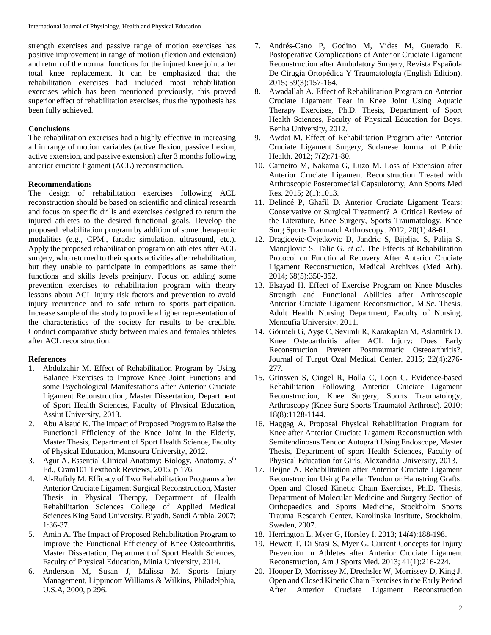strength exercises and passive range of motion exercises has positive improvement in range of motion (flexion and extension) and return of the normal functions for the injured knee joint after total knee replacement. It can be emphasized that the rehabilitation exercises had included most rehabilitation exercises which has been mentioned previously, this proved superior effect of rehabilitation exercises, thus the hypothesis has been fully achieved.

### **Conclusions**

The rehabilitation exercises had a highly effective in increasing all in range of motion variables (active flexion, passive flexion, active extension, and passive extension) after 3 months following anterior cruciate ligament (ACL) reconstruction.

## **Recommendations**

The design of rehabilitation exercises following ACL reconstruction should be based on scientific and clinical research and focus on specific drills and exercises designed to return the injured athletes to the desired functional goals. Develop the proposed rehabilitation program by addition of some therapeutic modalities (e.g., CPM., faradic simulation, ultrasound, etc.). Apply the proposed rehabilitation program on athletes after ACL surgery, who returned to their sports activities after rehabilitation, but they unable to participate in competitions as same their functions and skills levels preinjury. Focus on adding some prevention exercises to rehabilitation program with theory lessons about ACL injury risk factors and prevention to avoid injury recurrence and to safe return to sports participation. Increase sample of the study to provide a higher representation of the characteristics of the society for results to be credible. Conduct comparative study between males and females athletes after ACL reconstruction.

#### **References**

- 1. Abdulzahir M. Effect of Rehabilitation Program by Using Balance Exercises to Improve Knee Joint Functions and some Psychological Manifestations after Anterior Cruciate Ligament Reconstruction, Master Dissertation, Department of Sport Health Sciences, Faculty of Physical Education, Assiut University, 2013.
- 2. Abu Alsaud K. The Impact of Proposed Program to Raise the Functional Efficiency of the Knee Joint in the Elderly, Master Thesis, Department of Sport Health Science, Faculty of Physical Education, Mansoura University, 2012.
- 3. Agur A. Essential Clinical Anatomy: Biology, Anatomy, 5<sup>th</sup> Ed., Cram101 Textbook Reviews, 2015, p 176.
- 4. Al-Rufidy M. Efficacy of Two Rehabilitation Programs after Anterior Cruciate Ligament Surgical Reconstruction, Master Thesis in Physical Therapy, Department of Health Rehabilitation Sciences College of Applied Medical Sciences King Saud University, Riyadh, Saudi Arabia. 2007; 1:36-37.
- 5. Amin A. The Impact of Proposed Rehabilitation Program to Improve the Functional Efficiency of Knee Osteoarthritis, Master Dissertation, Department of Sport Health Sciences, Faculty of Physical Education, Minia University, 2014.
- 6. Anderson M, Susan J, Malissa M. Sports Injury Management, Lippincott Williams & Wilkins, Philadelphia, U.S.A, 2000, p 296.
- 7. Andrés-Cano P, Godino M, Vides M, Guerado E. Postoperative Complications of Anterior Cruciate Ligament Reconstruction after Ambulatory Surgery, Revista Española De Cirugía Ortopédica Y Traumatología (English Edition). 2015; 59(3):157-164.
- 8. Awadallah A. Effect of Rehabilitation Program on Anterior Cruciate Ligament Tear in Knee Joint Using Aquatic Therapy Exercises, Ph.D. Thesis, Department of Sport Health Sciences, Faculty of Physical Education for Boys, Benha University, 2012.
- 9. Awdat M. Effect of Rehabilitation Program after Anterior Cruciate Ligament Surgery, Sudanese Journal of Public Health. 2012; 7(2):71-80.
- 10. Carneiro M, Nakama G, Luzo M. Loss of Extension after Anterior Cruciate Ligament Reconstruction Treated with Arthroscopic Posteromedial Capsulotomy, Ann Sports Med Res. 2015; 2(1):1013.
- 11. Delincé P, Ghafil D. Anterior Cruciate Ligament Tears: Conservative or Surgical Treatment? A Critical Review of the Literature, Knee Surgery, Sports Traumatology, Knee Surg Sports Traumatol Arthroscopy. 2012; 20(1):48-61.
- 12. Dragicevic-Cvjetkovic D, Jandric S, Bijeljac S, Palija S, Manojlovic S, Talic G. *et al*. The Effects of Rehabilitation Protocol on Functional Recovery After Anterior Cruciate Ligament Reconstruction, Medical Archives (Med Arh). 2014; 68(5):350-352.
- 13. Elsayad H. Effect of Exercise Program on Knee Muscles Strength and Functional Abilities after Arthroscopic Anterior Cruciate Ligament Reconstruction, M.Sc. Thesis, Adult Health Nursing Department, Faculty of Nursing, Menoufia University, 2011.
- 14. Görmeli G, Ayşe C, Sevimli R, Karakaplan M, Aslantürk O. Knee Osteoarthritis after ACL Injury: Does Early Reconstruction Prevent Posttraumatic Osteoarthritis?, Journal of Turgut Ozal Medical Center. 2015; 22(4):276- 277.
- 15. Grinsven S, Cingel R, Holla C, Loon C. Evidence-based Rehabilitation Following Anterior Cruciate Ligament Reconstruction, Knee Surgery, Sports Traumatology, Arthroscopy (Knee Surg Sports Traumatol Arthrosc). 2010; 18(8):1128-1144.
- 16. Haggag A. Proposal Physical Rehabilitation Program for Knee after Anterior Cruciate Ligament Reconstruction with Semitendinosus Tendon Autograft Using Endoscope, Master Thesis, Department of sport Health Sciences, Faculty of Physical Education for Girls, Alexandria University, 2013.
- 17. Heijne A. Rehabilitation after Anterior Cruciate Ligament Reconstruction Using Patellar Tendon or Hamstring Grafts: Open and Closed Kinetic Chain Exercises, Ph.D. Thesis, Department of Molecular Medicine and Surgery Section of Orthopaedics and Sports Medicine, Stockholm Sports Trauma Research Center, Karolinska Institute, Stockholm, Sweden, 2007.
- 18. Herrington L, Myer G, Horsley I. 2013; 14(4):188-198.
- 19. Hewett T, Di Stasi S, Myer G. Current Concepts for Injury Prevention in Athletes after Anterior Cruciate Ligament Reconstruction, Am J Sports Med. 2013; 41(1):216-224.
- 20. Hooper D, Morrissey M, Drechsler W, Morrissey D, King J. Open and Closed Kinetic Chain Exercises in the Early Period After Anterior Cruciate Ligament Reconstruction